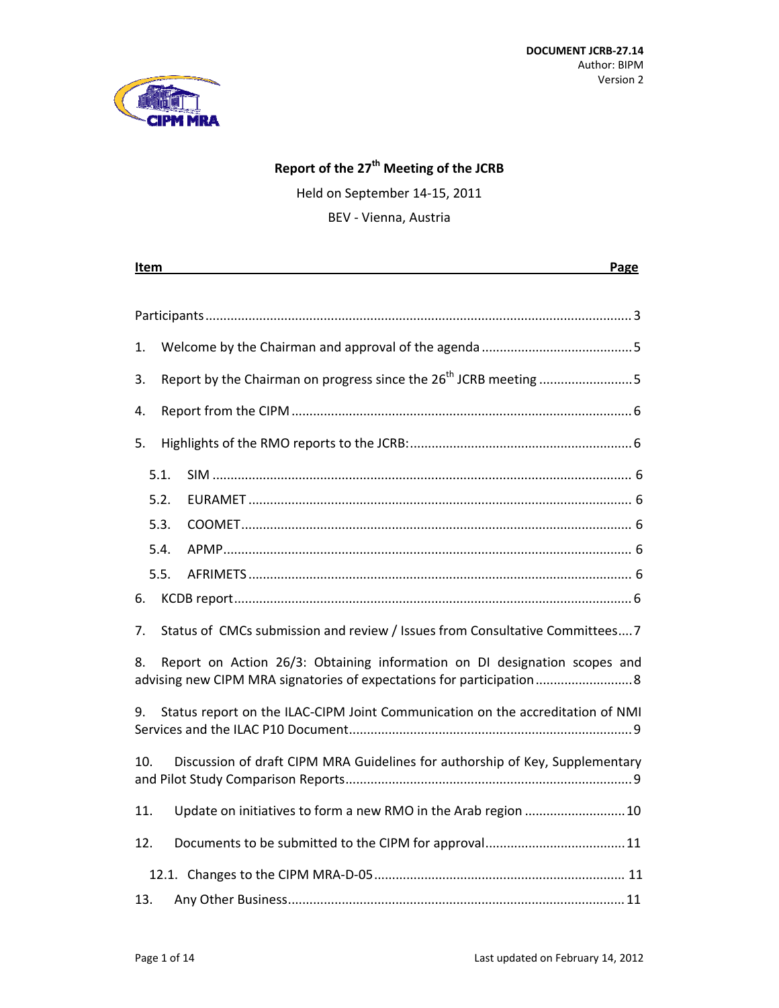

# **Report of the 27th Meeting of the JCRB**

Held on September 14‐15, 2011

BEV ‐ Vienna, Austria

| Item<br>Page                                                                                                                                            |
|---------------------------------------------------------------------------------------------------------------------------------------------------------|
|                                                                                                                                                         |
|                                                                                                                                                         |
| 1.                                                                                                                                                      |
| Report by the Chairman on progress since the 26 <sup>th</sup> JCRB meeting 5<br>3.                                                                      |
| 4.                                                                                                                                                      |
| 5.                                                                                                                                                      |
| 5.1.                                                                                                                                                    |
| 5.2.                                                                                                                                                    |
| 5.3.                                                                                                                                                    |
| 5.4.                                                                                                                                                    |
| 5.5.                                                                                                                                                    |
| 6.                                                                                                                                                      |
| Status of CMCs submission and review / Issues from Consultative Committees7<br>7.                                                                       |
| Report on Action 26/3: Obtaining information on DI designation scopes and<br>8.<br>advising new CIPM MRA signatories of expectations for participation8 |
| Status report on the ILAC-CIPM Joint Communication on the accreditation of NMI<br>9.                                                                    |
| Discussion of draft CIPM MRA Guidelines for authorship of Key, Supplementary<br>10.                                                                     |
| Update on initiatives to form a new RMO in the Arab region  10<br>11.                                                                                   |
| 12.                                                                                                                                                     |
|                                                                                                                                                         |
| 13.                                                                                                                                                     |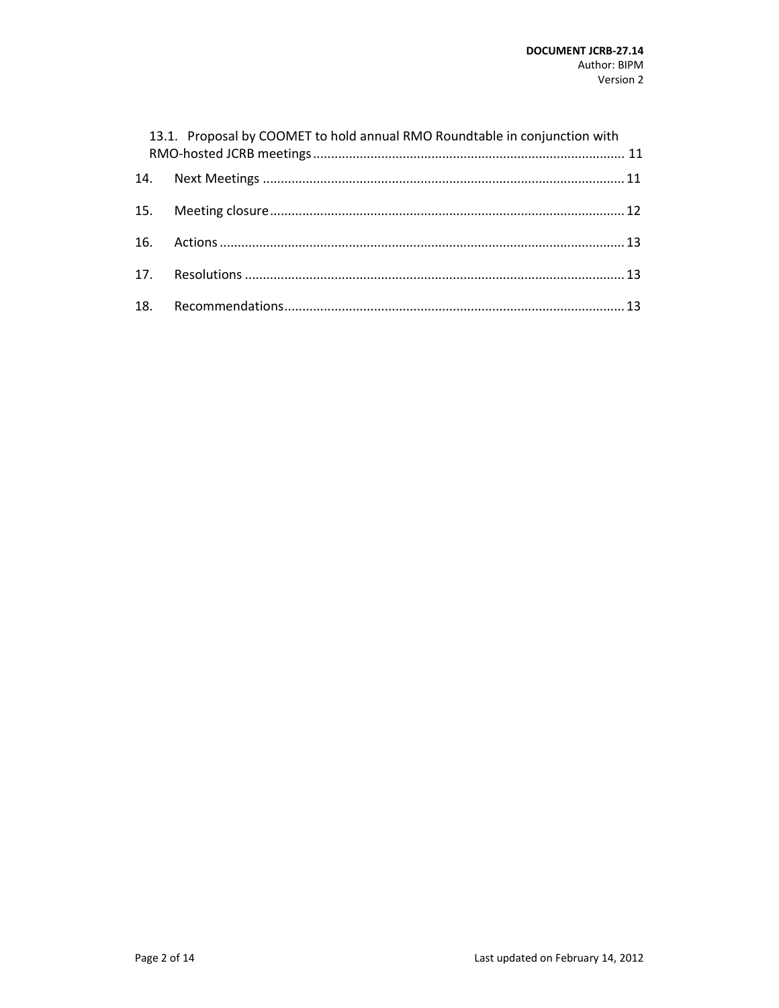| 13.1. Proposal by COOMET to hold annual RMO Roundtable in conjunction with |  |
|----------------------------------------------------------------------------|--|
|                                                                            |  |
|                                                                            |  |
|                                                                            |  |
|                                                                            |  |
|                                                                            |  |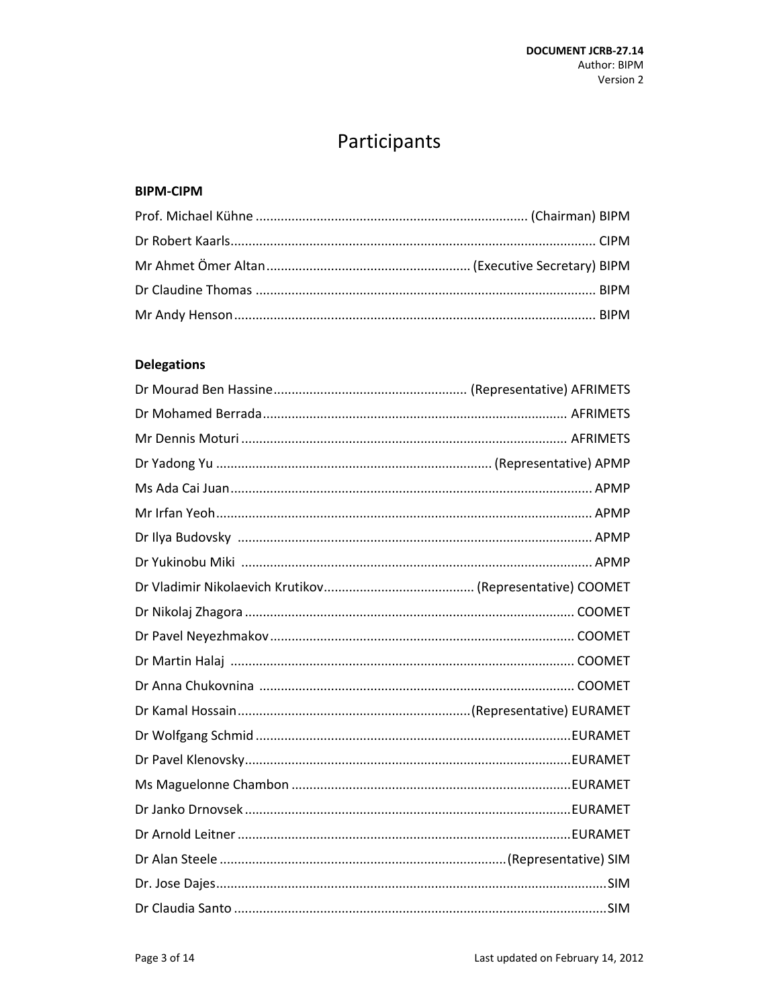# Participants

### **BIPM-CIPM**

# **Delegations**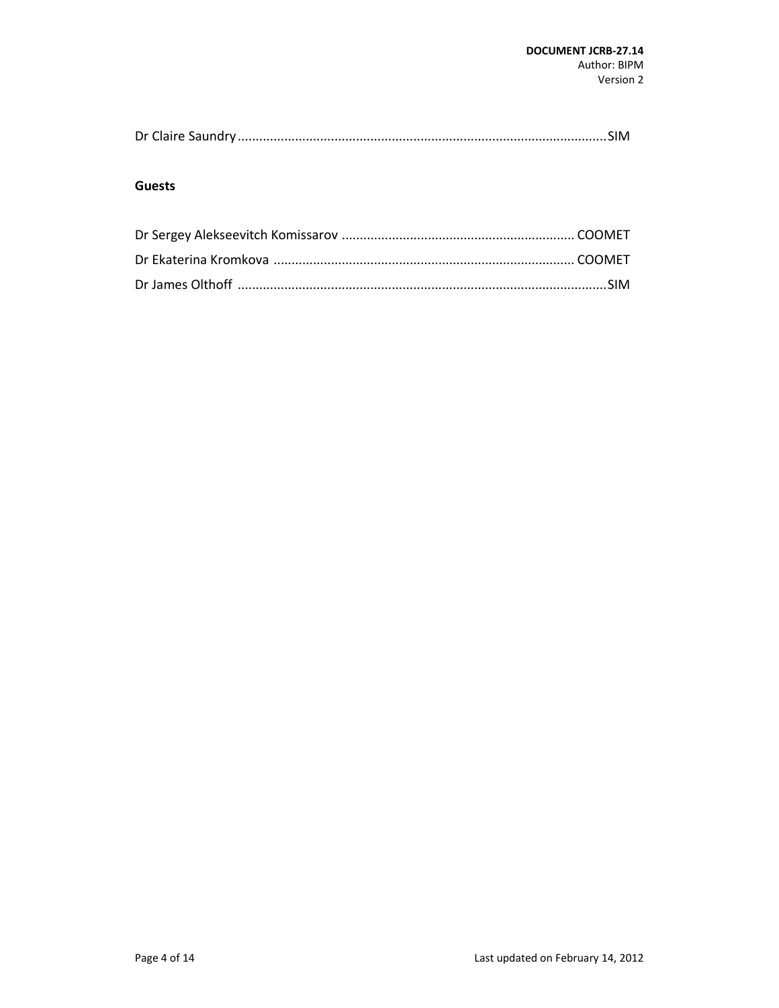|--|--|

#### **Guests**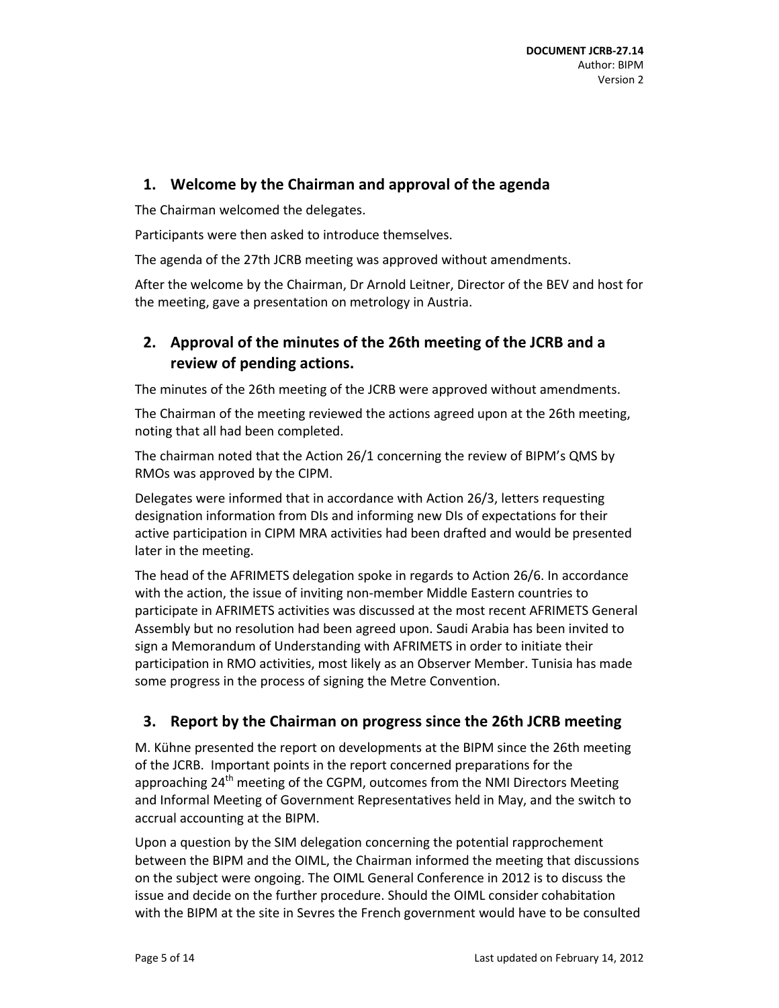# **1. Welcome by the Chairman and approval of the agenda**

The Chairman welcomed the delegates.

Participants were then asked to introduce themselves.

The agenda of the 27th JCRB meeting was approved without amendments.

After the welcome by the Chairman, Dr Arnold Leitner, Director of the BEV and host for the meeting, gave a presentation on metrology in Austria.

# **2. Approval of the minutes of the 26th meeting of the JCRB and a review of pending actions.**

The minutes of the 26th meeting of the JCRB were approved without amendments.

The Chairman of the meeting reviewed the actions agreed upon at the 26th meeting, noting that all had been completed.

The chairman noted that the Action 26/1 concerning the review of BIPM's QMS by RMOs was approved by the CIPM.

Delegates were informed that in accordance with Action 26/3, letters requesting designation information from DIs and informing new DIs of expectations for their active participation in CIPM MRA activities had been drafted and would be presented later in the meeting.

The head of the AFRIMETS delegation spoke in regards to Action 26/6. In accordance with the action, the issue of inviting non-member Middle Eastern countries to participate in AFRIMETS activities was discussed at the most recent AFRIMETS General Assembly but no resolution had been agreed upon. Saudi Arabia has been invited to sign a Memorandum of Understanding with AFRIMETS in order to initiate their participation in RMO activities, most likely as an Observer Member. Tunisia has made some progress in the process of signing the Metre Convention.

# **3. Report by the Chairman on progress since the 26th JCRB meeting**

M. Kühne presented the report on developments at the BIPM since the 26th meeting of the JCRB. Important points in the report concerned preparations for the approaching 24<sup>th</sup> meeting of the CGPM, outcomes from the NMI Directors Meeting and Informal Meeting of Government Representatives held in May, and the switch to accrual accounting at the BIPM.

Upon a question by the SIM delegation concerning the potential rapprochement between the BIPM and the OIML, the Chairman informed the meeting that discussions on the subject were ongoing. The OIML General Conference in 2012 is to discuss the issue and decide on the further procedure. Should the OIML consider cohabitation with the BIPM at the site in Sevres the French government would have to be consulted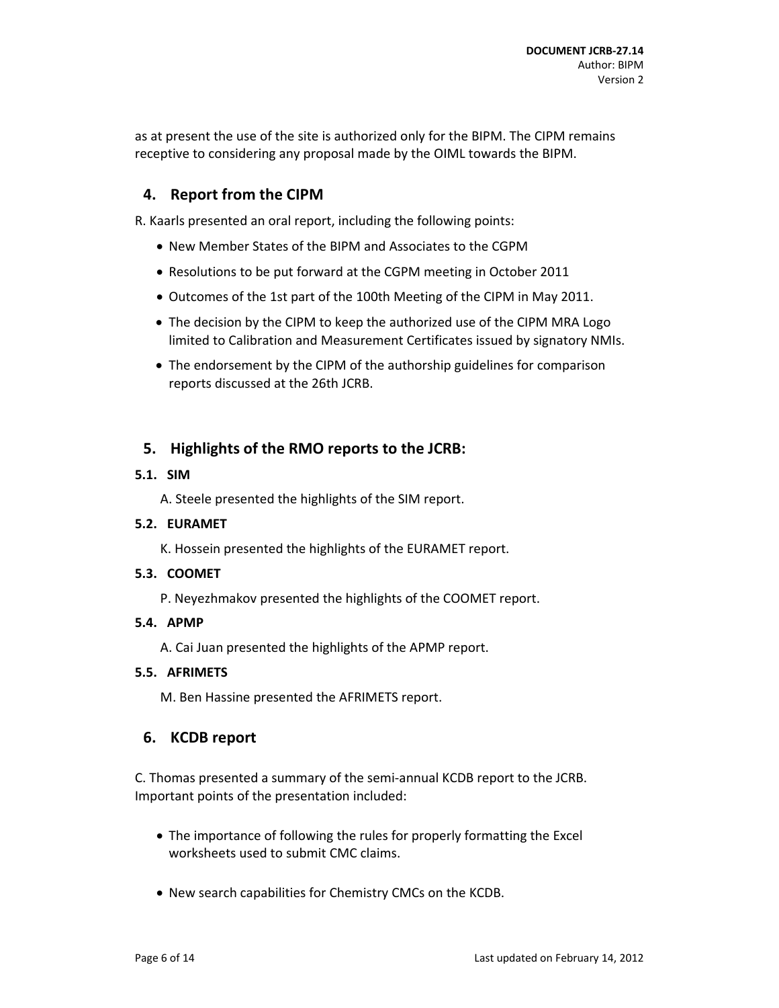as at present the use of the site is authorized only for the BIPM. The CIPM remains receptive to considering any proposal made by the OIML towards the BIPM.

## **4. Report from the CIPM**

R. Kaarls presented an oral report, including the following points:

- New Member States of the BIPM and Associates to the CGPM
- Resolutions to be put forward at the CGPM meeting in October 2011
- Outcomes of the 1st part of the 100th Meeting of the CIPM in May 2011.
- The decision by the CIPM to keep the authorized use of the CIPM MRA Logo limited to Calibration and Measurement Certificates issued by signatory NMIs.
- The endorsement by the CIPM of the authorship guidelines for comparison reports discussed at the 26th JCRB.

## **5. Highlights of the RMO reports to the JCRB:**

#### **5.1. SIM**

A. Steele presented the highlights of the SIM report.

### **5.2. EURAMET**

K. Hossein presented the highlights of the EURAMET report.

### **5.3. COOMET**

P. Neyezhmakov presented the highlights of the COOMET report.

#### **5.4. APMP**

A. Cai Juan presented the highlights of the APMP report.

#### **5.5. AFRIMETS**

M. Ben Hassine presented the AFRIMETS report.

### **6. KCDB report**

C. Thomas presented a summary of the semi‐annual KCDB report to the JCRB. Important points of the presentation included:

- The importance of following the rules for properly formatting the Excel worksheets used to submit CMC claims.
- New search capabilities for Chemistry CMCs on the KCDB.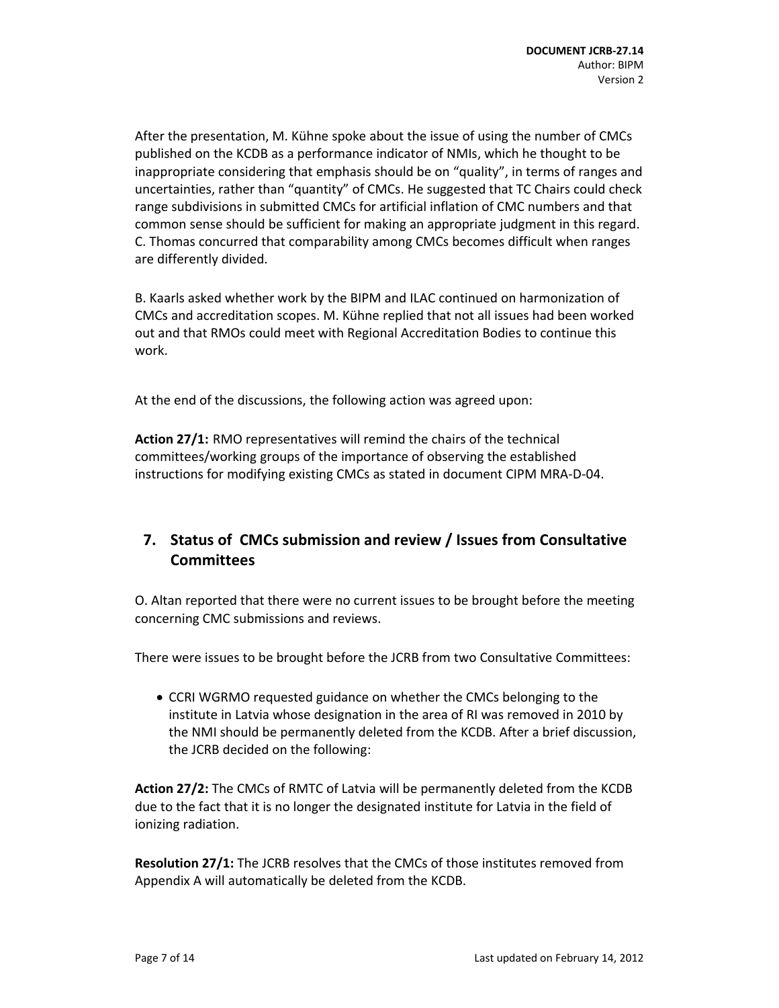After the presentation, M. Kühne spoke about the issue of using the number of CMCs published on the KCDB as a performance indicator of NMIs, which he thought to be inappropriate considering that emphasis should be on "quality", in terms of ranges and uncertainties, rather than "quantity" of CMCs. He suggested that TC Chairs could check range subdivisions in submitted CMCs for artificial inflation of CMC numbers and that common sense should be sufficient for making an appropriate judgment in this regard. C. Thomas concurred that comparability among CMCs becomes difficult when ranges are differently divided.

B. Kaarls asked whether work by the BIPM and ILAC continued on harmonization of CMCs and accreditation scopes. M. Kühne replied that not all issues had been worked out and that RMOs could meet with Regional Accreditation Bodies to continue this work.

At the end of the discussions, the following action was agreed upon:

**Action 27/1:** RMO representatives will remind the chairs of the technical committees/working groups of the importance of observing the established instructions for modifying existing CMCs as stated in document CIPM MRA‐D‐04.

# **7. Status of CMCs submission and review / Issues from Consultative Committees**

O. Altan reported that there were no current issues to be brought before the meeting concerning CMC submissions and reviews.

There were issues to be brought before the JCRB from two Consultative Committees:

 CCRI WGRMO requested guidance on whether the CMCs belonging to the institute in Latvia whose designation in the area of RI was removed in 2010 by the NMI should be permanently deleted from the KCDB. After a brief discussion, the JCRB decided on the following:

**Action 27/2:** The CMCs of RMTC of Latvia will be permanently deleted from the KCDB due to the fact that it is no longer the designated institute for Latvia in the field of ionizing radiation.

**Resolution 27/1:** The JCRB resolves that the CMCs of those institutes removed from Appendix A will automatically be deleted from the KCDB.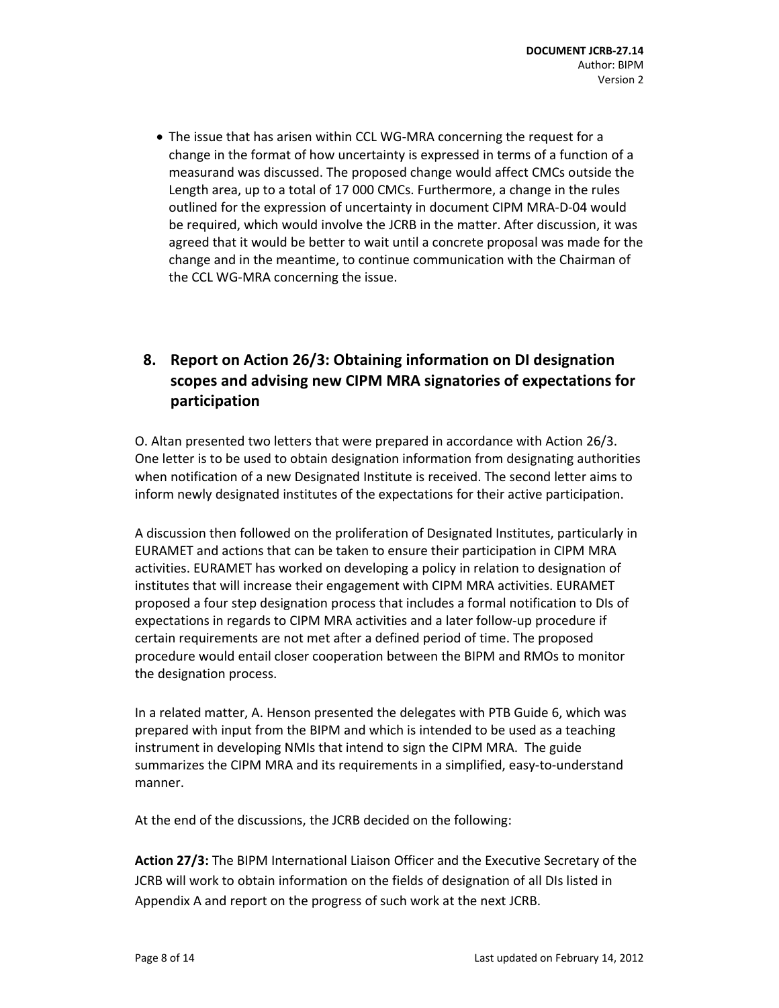■ The issue that has arisen within CCL WG-MRA concerning the request for a change in the format of how uncertainty is expressed in terms of a function of a measurand was discussed. The proposed change would affect CMCs outside the Length area, up to a total of 17 000 CMCs. Furthermore, a change in the rules outlined for the expression of uncertainty in document CIPM MRA‐D‐04 would be required, which would involve the JCRB in the matter. After discussion, it was agreed that it would be better to wait until a concrete proposal was made for the change and in the meantime, to continue communication with the Chairman of the CCL WG‐MRA concerning the issue.

# **8. Report on Action 26/3: Obtaining information on DI designation scopes and advising new CIPM MRA signatories of expectations for participation**

O. Altan presented two letters that were prepared in accordance with Action 26/3. One letter is to be used to obtain designation information from designating authorities when notification of a new Designated Institute is received. The second letter aims to inform newly designated institutes of the expectations for their active participation.

A discussion then followed on the proliferation of Designated Institutes, particularly in EURAMET and actions that can be taken to ensure their participation in CIPM MRA activities. EURAMET has worked on developing a policy in relation to designation of institutes that will increase their engagement with CIPM MRA activities. EURAMET proposed a four step designation process that includes a formal notification to DIs of expectations in regards to CIPM MRA activities and a later follow-up procedure if certain requirements are not met after a defined period of time. The proposed procedure would entail closer cooperation between the BIPM and RMOs to monitor the designation process.

In a related matter, A. Henson presented the delegates with PTB Guide 6, which was prepared with input from the BIPM and which is intended to be used as a teaching instrument in developing NMIs that intend to sign the CIPM MRA. The guide summarizes the CIPM MRA and its requirements in a simplified, easy-to-understand manner.

At the end of the discussions, the JCRB decided on the following:

**Action 27/3:** The BIPM International Liaison Officer and the Executive Secretary of the JCRB will work to obtain information on the fields of designation of all DIs listed in Appendix A and report on the progress of such work at the next JCRB.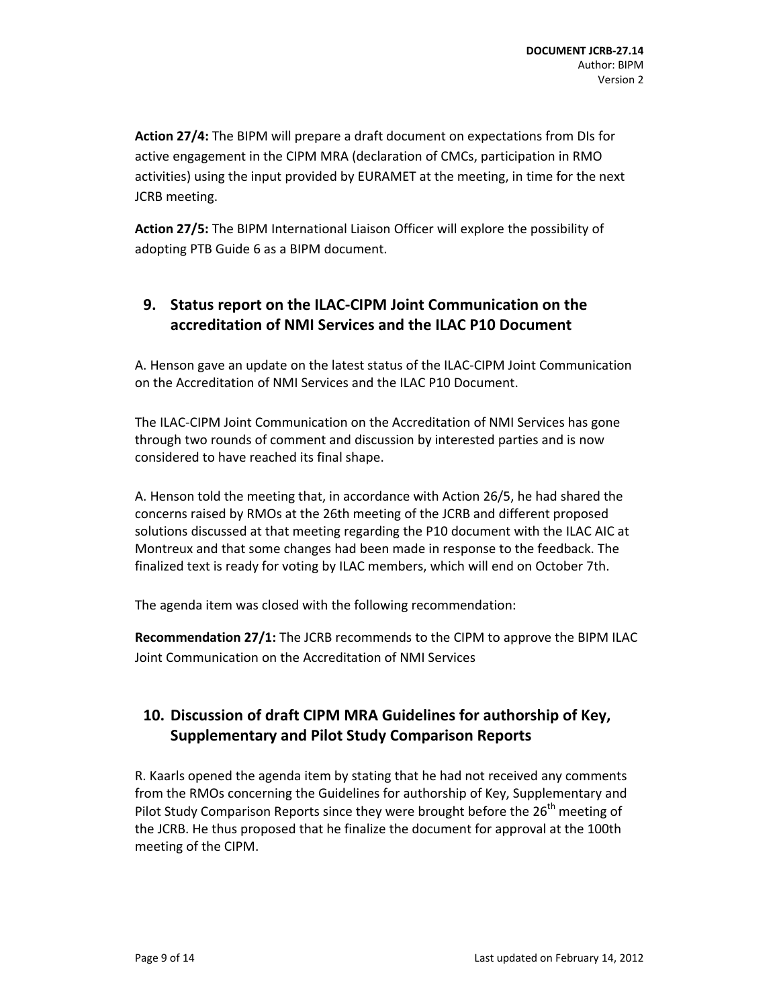**Action 27/4:** The BIPM will prepare a draft document on expectations from DIs for active engagement in the CIPM MRA (declaration of CMCs, participation in RMO activities) using the input provided by EURAMET at the meeting, in time for the next JCRB meeting.

**Action 27/5:** The BIPM International Liaison Officer will explore the possibility of adopting PTB Guide 6 as a BIPM document.

# **9. Status report on the ILAC‐CIPM Joint Communication on the accreditation of NMI Services and the ILAC P10 Document**

A. Henson gave an update on the latest status of the ILAC‐CIPM Joint Communication on the Accreditation of NMI Services and the ILAC P10 Document.

The ILAC‐CIPM Joint Communication on the Accreditation of NMI Services has gone through two rounds of comment and discussion by interested parties and is now considered to have reached its final shape.

A. Henson told the meeting that, in accordance with Action 26/5, he had shared the concerns raised by RMOs at the 26th meeting of the JCRB and different proposed solutions discussed at that meeting regarding the P10 document with the ILAC AIC at Montreux and that some changes had been made in response to the feedback. The finalized text is ready for voting by ILAC members, which will end on October 7th.

The agenda item was closed with the following recommendation:

**Recommendation 27/1:** The JCRB recommends to the CIPM to approve the BIPM ILAC Joint Communication on the Accreditation of NMI Services

# **10. Discussion of draft CIPM MRA Guidelines for authorship of Key, Supplementary and Pilot Study Comparison Reports**

R. Kaarls opened the agenda item by stating that he had not received any comments from the RMOs concerning the Guidelines for authorship of Key, Supplementary and Pilot Study Comparison Reports since they were brought before the 26<sup>th</sup> meeting of the JCRB. He thus proposed that he finalize the document for approval at the 100th meeting of the CIPM.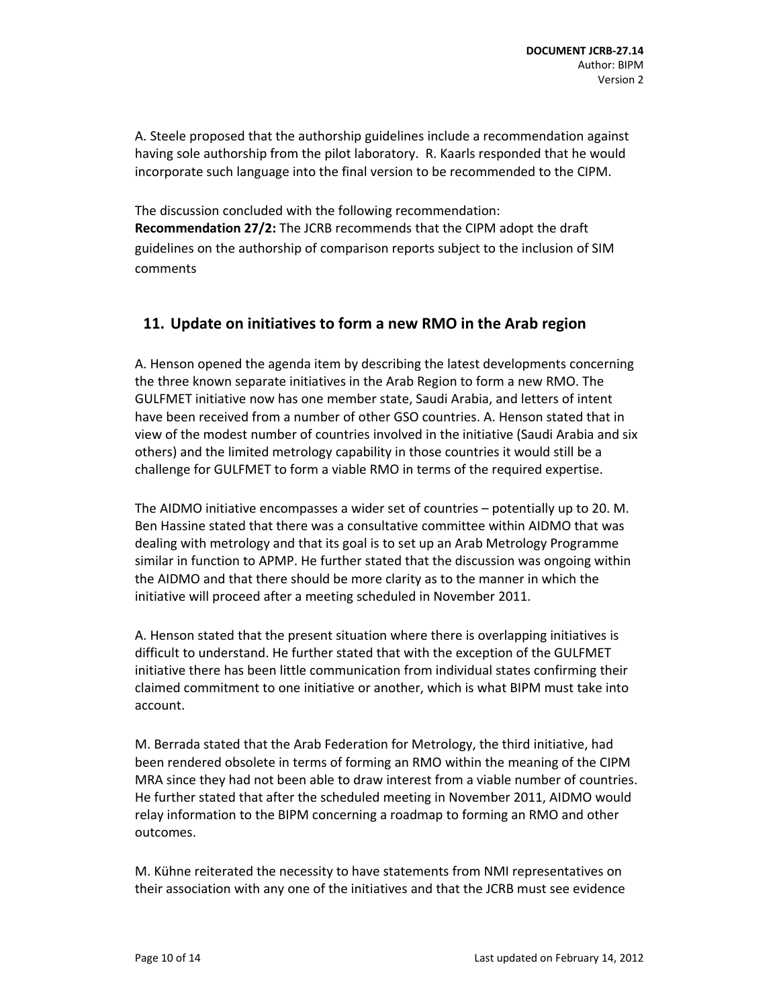A. Steele proposed that the authorship guidelines include a recommendation against having sole authorship from the pilot laboratory. R. Kaarls responded that he would incorporate such language into the final version to be recommended to the CIPM.

The discussion concluded with the following recommendation: **Recommendation 27/2:** The JCRB recommends that the CIPM adopt the draft guidelines on the authorship of comparison reports subject to the inclusion of SIM comments

## **11. Update on initiatives to form a new RMO in the Arab region**

A. Henson opened the agenda item by describing the latest developments concerning the three known separate initiatives in the Arab Region to form a new RMO. The GULFMET initiative now has one member state, Saudi Arabia, and letters of intent have been received from a number of other GSO countries. A. Henson stated that in view of the modest number of countries involved in the initiative (Saudi Arabia and six others) and the limited metrology capability in those countries it would still be a challenge for GULFMET to form a viable RMO in terms of the required expertise.

The AIDMO initiative encompasses a wider set of countries – potentially up to 20. M. Ben Hassine stated that there was a consultative committee within AIDMO that was dealing with metrology and that its goal is to set up an Arab Metrology Programme similar in function to APMP. He further stated that the discussion was ongoing within the AIDMO and that there should be more clarity as to the manner in which the initiative will proceed after a meeting scheduled in November 2011.

A. Henson stated that the present situation where there is overlapping initiatives is difficult to understand. He further stated that with the exception of the GULFMET initiative there has been little communication from individual states confirming their claimed commitment to one initiative or another, which is what BIPM must take into account.

M. Berrada stated that the Arab Federation for Metrology, the third initiative, had been rendered obsolete in terms of forming an RMO within the meaning of the CIPM MRA since they had not been able to draw interest from a viable number of countries. He further stated that after the scheduled meeting in November 2011, AIDMO would relay information to the BIPM concerning a roadmap to forming an RMO and other outcomes.

M. Kühne reiterated the necessity to have statements from NMI representatives on their association with any one of the initiatives and that the JCRB must see evidence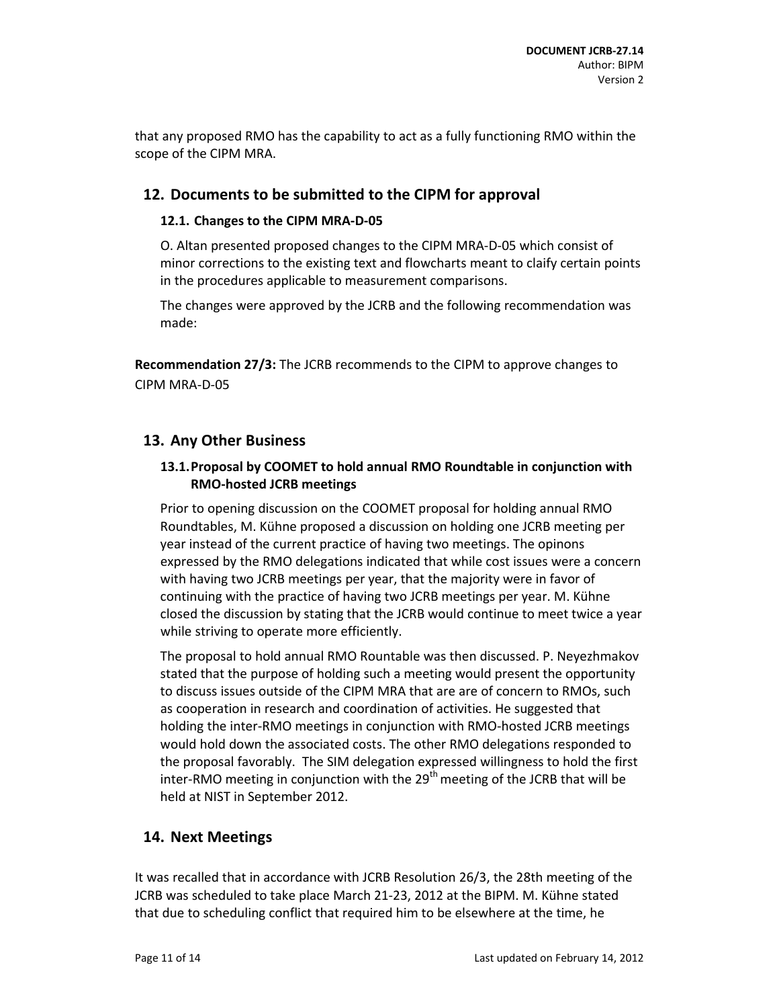that any proposed RMO has the capability to act as a fully functioning RMO within the scope of the CIPM MRA.

### **12. Documents to be submitted to the CIPM for approval**

#### **12.1. Changes to the CIPM MRA‐D‐05**

O. Altan presented proposed changes to the CIPM MRA‐D‐05 which consist of minor corrections to the existing text and flowcharts meant to claify certain points in the procedures applicable to measurement comparisons.

The changes were approved by the JCRB and the following recommendation was made:

**Recommendation 27/3:** The JCRB recommends to the CIPM to approve changes to CIPM MRA‐D‐05

### **13. Any Other Business**

#### **13.1.Proposal by COOMET to hold annual RMO Roundtable in conjunction with RMO‐hosted JCRB meetings**

Prior to opening discussion on the COOMET proposal for holding annual RMO Roundtables, M. Kühne proposed a discussion on holding one JCRB meeting per year instead of the current practice of having two meetings. The opinons expressed by the RMO delegations indicated that while cost issues were a concern with having two JCRB meetings per year, that the majority were in favor of continuing with the practice of having two JCRB meetings per year. M. Kühne closed the discussion by stating that the JCRB would continue to meet twice a year while striving to operate more efficiently.

The proposal to hold annual RMO Rountable was then discussed. P. Neyezhmakov stated that the purpose of holding such a meeting would present the opportunity to discuss issues outside of the CIPM MRA that are are of concern to RMOs, such as cooperation in research and coordination of activities. He suggested that holding the inter‐RMO meetings in conjunction with RMO‐hosted JCRB meetings would hold down the associated costs. The other RMO delegations responded to the proposal favorably. The SIM delegation expressed willingness to hold the first inter-RMO meeting in conjunction with the  $29<sup>th</sup>$  meeting of the JCRB that will be held at NIST in September 2012.

### **14. Next Meetings**

It was recalled that in accordance with JCRB Resolution 26/3, the 28th meeting of the JCRB was scheduled to take place March 21‐23, 2012 at the BIPM. M. Kühne stated that due to scheduling conflict that required him to be elsewhere at the time, he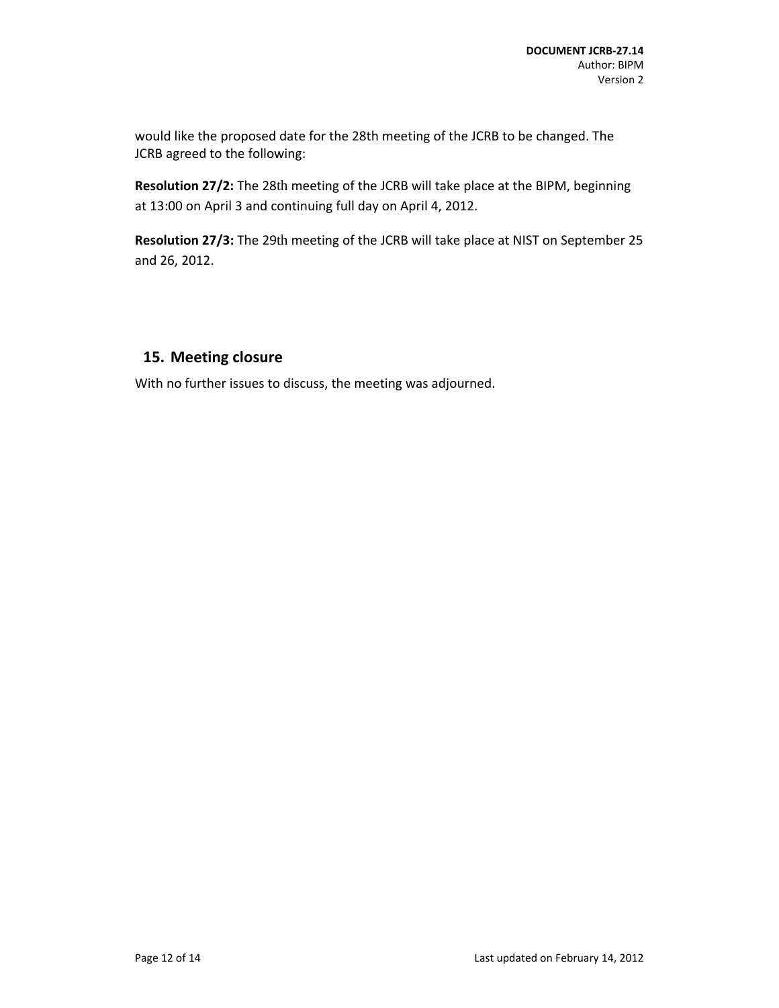would like the proposed date for the 28th meeting of the JCRB to be changed. The JCRB agreed to the following:

**Resolution 27/2:** The 28th meeting of the JCRB will take place at the BIPM, beginning at 13:00 on April 3 and continuing full day on April 4, 2012.

**Resolution 27/3:** The 29th meeting of the JCRB will take place at NIST on September 25 and 26, 2012.

## **15. Meeting closure**

With no further issues to discuss, the meeting was adjourned.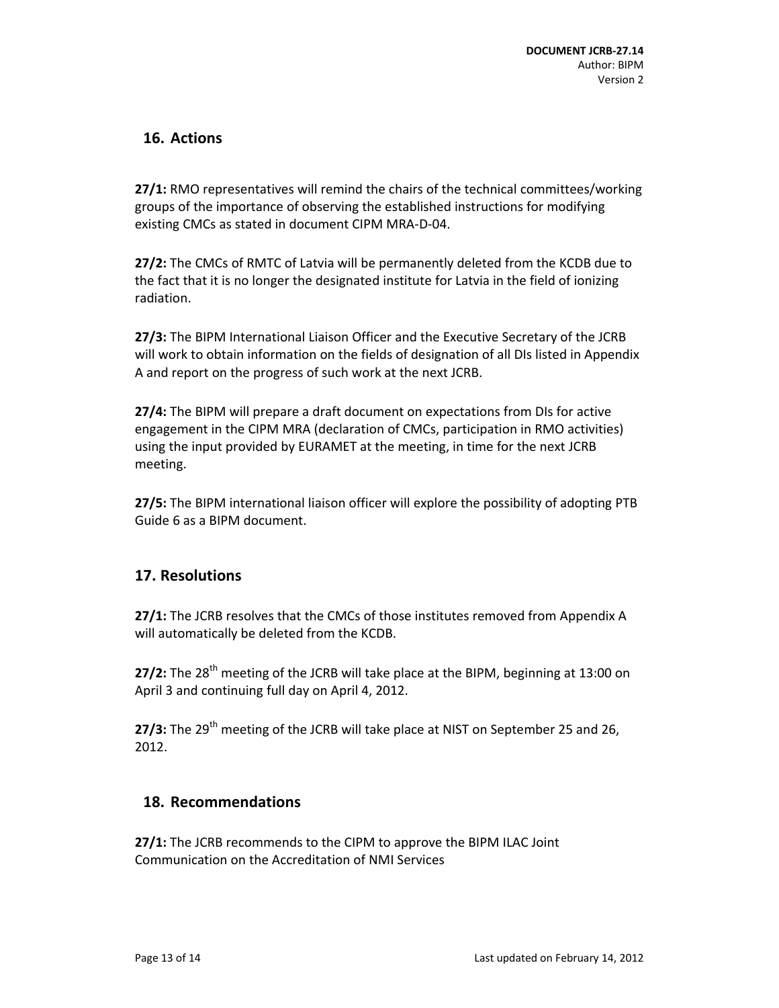## **16. Actions**

**27/1:** RMO representatives will remind the chairs of the technical committees/working groups of the importance of observing the established instructions for modifying existing CMCs as stated in document CIPM MRA‐D‐04.

**27/2:** The CMCs of RMTC of Latvia will be permanently deleted from the KCDB due to the fact that it is no longer the designated institute for Latvia in the field of ionizing radiation.

**27/3:** The BIPM International Liaison Officer and the Executive Secretary of the JCRB will work to obtain information on the fields of designation of all DIs listed in Appendix A and report on the progress of such work at the next JCRB.

**27/4:** The BIPM will prepare a draft document on expectations from DIs for active engagement in the CIPM MRA (declaration of CMCs, participation in RMO activities) using the input provided by EURAMET at the meeting, in time for the next JCRB meeting.

**27/5:** The BIPM international liaison officer will explore the possibility of adopting PTB Guide 6 as a BIPM document.

## **17. Resolutions**

**27/1:** The JCRB resolves that the CMCs of those institutes removed from Appendix A will automatically be deleted from the KCDB.

27/2: The 28<sup>th</sup> meeting of the JCRB will take place at the BIPM, beginning at 13:00 on April 3 and continuing full day on April 4, 2012.

27/3: The 29<sup>th</sup> meeting of the JCRB will take place at NIST on September 25 and 26, 2012.

## **18. Recommendations**

**27/1:** The JCRB recommends to the CIPM to approve the BIPM ILAC Joint Communication on the Accreditation of NMI Services